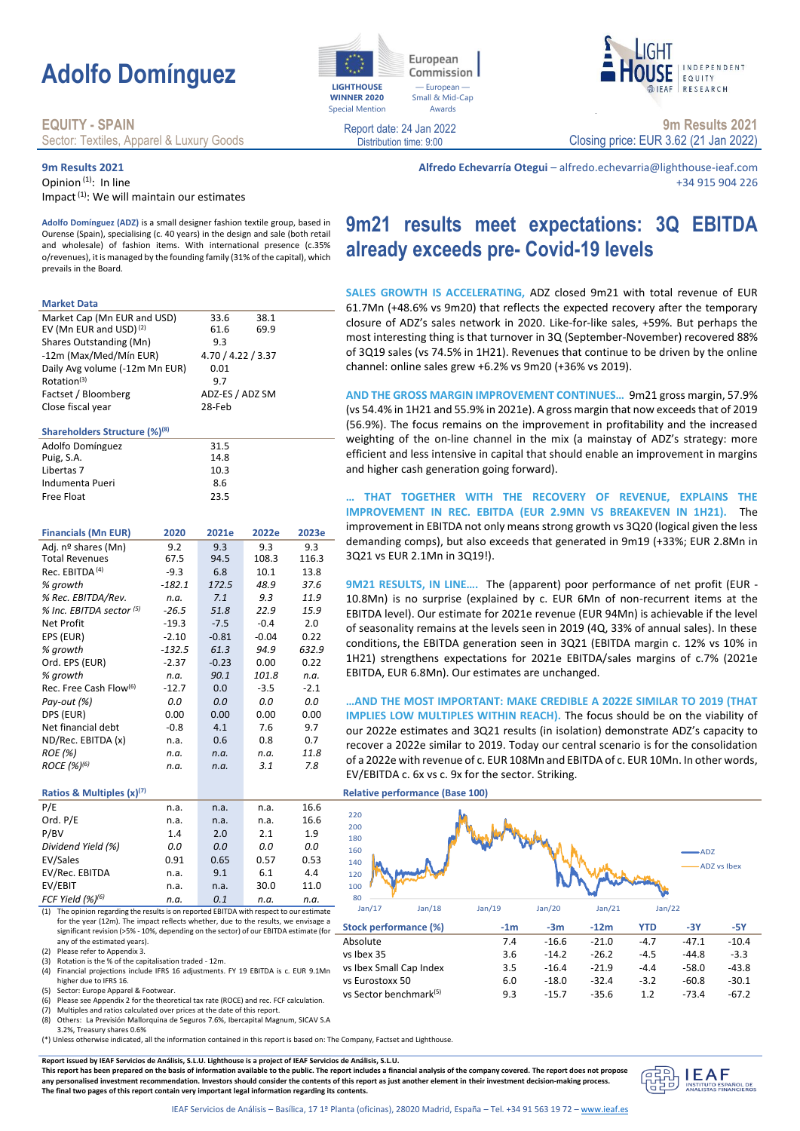# **Adolfo Domínguez**

### **EQUITY - SPAIN**

Sector: Textiles, Apparel & Luxury Goods

### **9m Results 2021**

Opinion<sup>(1)</sup>: In line

Impact<sup>(1)</sup>: We will maintain our estimates

**Adolfo Domínguez (ADZ)** is a small designer fashion textile group, based in Ourense (Spain), specialising (c. 40 years) in the design and sale (both retail and wholesale) of fashion items. With international presence (c.35% o/revenues), it is managed by the founding family (31% of the capital), which prevails in the Board.

#### **Market Data**

| Market Cap (Mn EUR and USD)               |          | 33.6               | 38.1    |        |
|-------------------------------------------|----------|--------------------|---------|--------|
| EV (Mn EUR and USD) <sup>(2)</sup>        |          | 61.6               | 69.9    |        |
| Shares Outstanding (Mn)                   |          | 9.3                |         |        |
| -12m (Max/Med/Mín EUR)                    |          | 4.70 / 4.22 / 3.37 |         |        |
| Daily Avg volume (-12m Mn EUR)            |          | 0.01               |         |        |
| Rotation <sup>(3)</sup>                   |          | 9.7                |         |        |
| Factset / Bloomberg                       |          | ADZ-ES / ADZ SM    |         |        |
| Close fiscal year                         |          | 28-Feb             |         |        |
| Shareholders Structure (%) <sup>(8)</sup> |          |                    |         |        |
| Adolfo Domínguez                          |          | 31.5               |         |        |
| Puig, S.A.                                |          | 14.8               |         |        |
| Libertas 7                                |          | 10.3               |         |        |
| Indumenta Pueri                           |          | 8.6                |         |        |
| <b>Free Float</b>                         |          | 23.5               |         |        |
|                                           |          |                    |         |        |
| <b>Financials (Mn EUR)</b>                | 2020     | 2021e              | 2022e   | 2023e  |
| Adj. nº shares (Mn)                       | 9.2      | 9.3                | 9.3     | 9.3    |
| <b>Total Revenues</b>                     | 67.5     | 94.5               | 108.3   | 116.3  |
| Rec. EBITDA <sup>(4)</sup>                | $-9.3$   | 6.8                | 10.1    | 13.8   |
| % growth                                  | $-182.1$ | 172.5              | 48.9    | 37.6   |
| % Rec. EBITDA/Rev.                        | n.a.     | 7.1                | 9.3     | 11.9   |
| % Inc. EBITDA sector (5)                  | $-26.5$  | 51.8               | 22.9    | 15.9   |
| <b>Net Profit</b>                         | $-19.3$  | $-7.5$             | $-0.4$  | 2.0    |
| EPS (EUR)                                 | $-2.10$  | $-0.81$            | $-0.04$ | 0.22   |
| % growth                                  | $-132.5$ | 61.3               | 94.9    | 632.9  |
| Ord. EPS (EUR)                            | $-2.37$  | $-0.23$            | 0.00    | 0.22   |
| % growth                                  | n.a.     | 90.1               | 101.8   | n.a.   |
| Rec. Free Cash Flow <sup>(6)</sup>        | $-12.7$  | 0.0                | $-3.5$  | $-2.1$ |
| Pay-out (%)                               | 0.0      | 0.0                | 0.0     | 0.0    |
| DPS (EUR)                                 | 0.00     | 0.00               | 0.00    | 0.00   |
| Net financial debt                        | $-0.8$   | 4.1                | 7.6     | 9.7    |
| ND/Rec. EBITDA (x)                        | n.a.     | 0.6                | 0.8     | 0.7    |
| <b>ROE</b> (%)                            | n.a.     | n.a.               | n.a.    | 11.8   |
| ROCE (%) <sup>(6)</sup>                   | n.a.     | n.a.               | 3.1     | 7.8    |
| Ratios & Multiples $(x)^{(7)}$            |          |                    |         |        |
| P/E                                       |          |                    |         | 16.6   |
| Ord. P/E                                  | n.a.     | n.a.               | n.a.    | 16.6   |
|                                           | n.a.     | n.a.               | n.a.    |        |
| P/BV                                      | 1.4      | 2.0                | 2.1     | 1.9    |
| Dividend Yield (%)                        | 0.0      | 0.0                | 0.0     | 0.0    |
| EV/Sales                                  | 0.91     | 0.65               | 0.57    | 0.53   |
| EV/Rec. EBITDA                            | n.a.     | 9.1                | 6.1     | 4.4    |



EV/EBIT n.a. n.a. 30.0 11.0 *FCF Yield (%)(6) n.a. 0.1 n.a. n.a.*

(2) Please refer to Appendix 3.<br>(3) Rotation is the % of the cap Rotation is the % of the capitalisation traded - 12m.

(5) Sector: Europe Apparel & Footwear.

(8) Others: La Previsión Mallorquina de Seguros 7.6%, Ibercapital Magnum, SICAV S.A

3.2%, Treasury shares 0.6%

(\*) Unless otherwise indicated, all the information contained in this report is based on: The Company, Factset and Lighthouse.

**Report issued by IEAF Servicios de Análisis, S.L.U. Lighthouse is a project of IEAF Servicios de Análisis, S.L.U.**

This report has been prepared on the basis of information available to the public. The report includes a financial analysis of the company covered. The report does not prop **any personalised investment recommendation. Investors should consider the contents of this report as just another element in their investment decision-making process. The final two pages of this report contain very important legal information regarding its contents.**



**Alfredo Echevarría Otegui** – alfredo.echevarria@lighthouse-ieaf.com

**SALES GROWTH IS ACCELERATING,** ADZ closed 9m21 with total revenue of EUR 61.7Mn (+48.6% vs 9m20) that reflects the expected recovery after the temporary closure of ADZ's sales network in 2020. Like-for-like sales, +59%. But perhaps the most interesting thing is that turnover in 3Q (September-November) recovered 88% of 3Q19 sales (vs 74.5% in 1H21). Revenues that continue to be driven by the online channel: online sales grew +6.2% vs 9m20 (+36% vs 2019).

**AND THE GROSS MARGIN IMPROVEMENT CONTINUES…** 9m21 gross margin, 57.9% (vs 54.4% in 1H21 and 55.9% in 2021e). A gross margin that now exceeds that of 2019 (56.9%). The focus remains on the improvement in profitability and the increased weighting of the on-line channel in the mix (a mainstay of ADZ's strategy: more efficient and less intensive in capital that should enable an improvement in margins and higher cash generation going forward).

**… THAT TOGETHER WITH THE RECOVERY OF REVENUE, EXPLAINS THE IMPROVEMENT IN REC. EBITDA (EUR 2.9MN VS BREAKEVEN IN 1H21).** The improvement in EBITDA not only means strong growth vs 3Q20 (logical given the less demanding comps), but also exceeds that generated in 9m19 (+33%; EUR 2.8Mn in 3Q21 vs EUR 2.1Mn in 3Q19!).

**9M21 RESULTS, IN LINE….** The (apparent) poor performance of net profit (EUR - 10.8Mn) is no surprise (explained by c. EUR 6Mn of non-recurrent items at the EBITDA level). Our estimate for 2021e revenue (EUR 94Mn) is achievable if the level of seasonality remains at the levels seen in 2019 (4Q, 33% of annual sales). In these conditions, the EBITDA generation seen in 3Q21 (EBITDA margin c. 12% vs 10% in 1H21) strengthens expectations for 2021e EBITDA/sales margins of c.7% (2021e EBITDA, EUR 6.8Mn). Our estimates are unchanged.

**…AND THE MOST IMPORTANT: MAKE CREDIBLE A 2022E SIMILAR TO 2019 (THAT IMPLIES LOW MULTIPLES WITHIN REACH).** The focus should be on the viability of our 2022e estimates and 3Q21 results (in isolation) demonstrate ADZ's capacity to recover a 2022e similar to 2019. Today our central scenario is for the consolidation of a 2022e with revenue of c. EUR 108Mn and EBITDA of c. EUR 10Mn. In other words, EV/EBITDA c. 6x vs c. 9x for the sector. Striking.

**Ratios & Multiples (x)(7) Relative performance (Base 100)**

**WINNER 2020** Special Mention

> Report date: 24 Jan 2022 Distribution time: 9:00

- European Small & Mid-Cap Awards

Commission

European



vs Eurostoxx 50  $6.0$  -18.0 -32.4 -3.2 -60.8 vs Sector benchmark(5) 9.3 -15.7 -35.6 1.2 -73.4 -67.2





**9m Results 2021** Closing price: EUR 3.62 (21 Jan 2022)



<sup>(4)</sup> Financial projections include IFRS 16 adjustments. FY 19 EBITDA is c. EUR 9.1Mn higher due to IFRS 16.

<sup>(6)</sup> Please see Appendix 2 for the theoretical tax rate (ROCE) and rec. FCF calculation. (7) Multiples and ratios calculated over prices at the date of this report.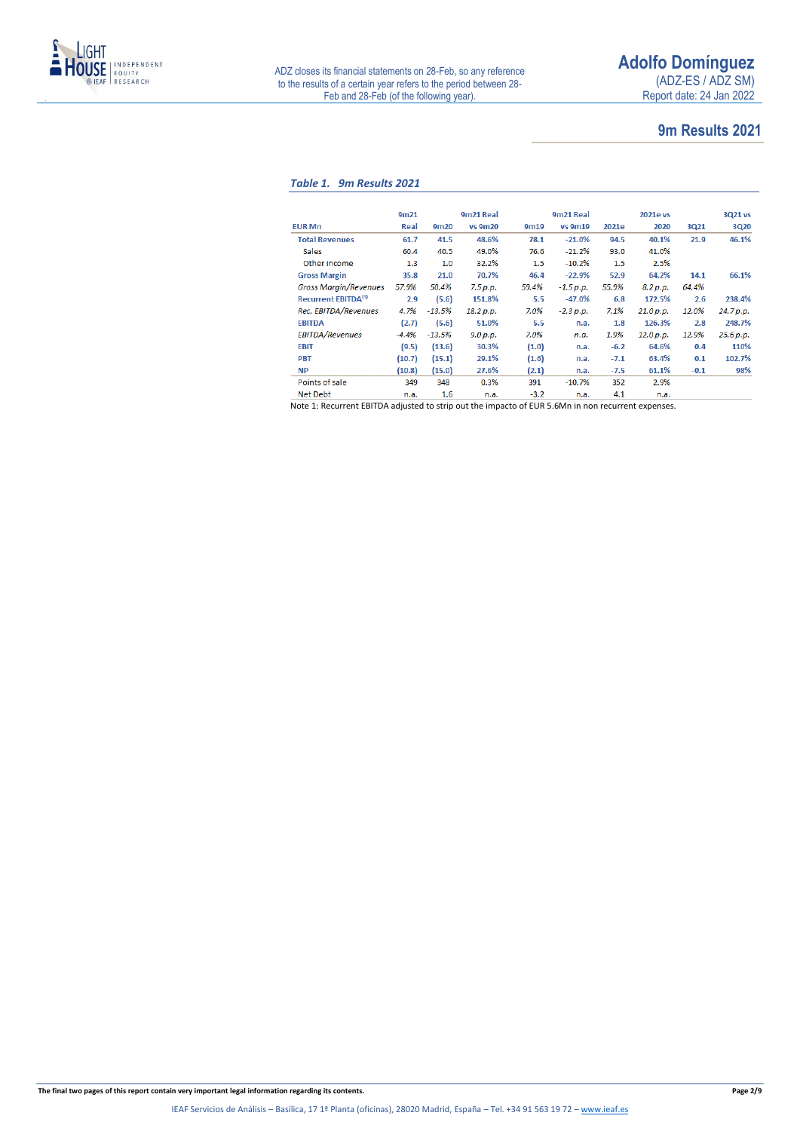

### **9m Results 2021**

### *Table 1. 9m Results 2021*

|                                 | 9m <sub>21</sub> |                  | 9m21 Real      |        | 9m21 Real   |        | 2021e vs  |        | 3Q21 vs   |
|---------------------------------|------------------|------------------|----------------|--------|-------------|--------|-----------|--------|-----------|
| <b>EUR Mn</b>                   | Real             | 9 <sub>m20</sub> | <b>vs 9m20</b> | 9m19   | vs 9m19     | 2021e  | 2020      | 3Q21   | 3Q20      |
| <b>Total Revenues</b>           | 61.7             | 41.5             | 48.6%          | 78.1   | $-21.0%$    | 94.5   | 40.1%     | 21.9   | 46.1%     |
| <b>Sales</b>                    | 60.4             | 40.5             | 49.0%          | 76.6   | $-21.2%$    | 93.0   | 41.0%     |        |           |
| Other income                    | 1.3              | 1.0              | 32.2%          | 1.5    | $-10.2%$    | 1.5    | 2.5%      |        |           |
| <b>Gross Margin</b>             | 35.8             | 21.0             | 70.7%          | 46.4   | $-22.9%$    | 52.9   | 64.2%     | 14.1   | 66.1%     |
| <b>Gross Margin/Revenues</b>    | 57.9%            | 50.4%            | 7.5 p.p.       | 59.4%  | $-1.5 p.p.$ | 55.9%  | 8.2 p.p.  | 64.4%  |           |
| Recurrent EBITDA <sup>(1)</sup> | 2.9              | (5.6)            | 151.8%         | 5.5    | $-47.0%$    | 6.8    | 172.5%    | 2.6    | 238.4%    |
| Rec. EBITDA/Revenues            | 4.7%             | $-13.5%$         | 18.2 p.p.      | 7.0%   | $-2.3 p.p.$ | 7.1%   | 21.0 p.p. | 12.0%  | 24.7 p.p. |
| <b>EBITDA</b>                   | (2.7)            | (5.6)            | 51.0%          | 5.5    | n.a.        | 1.8    | 126.3%    | 2.8    | 248.7%    |
| <b>EBITDA/Revenues</b>          | $-4.4%$          | $-13.5%$         | 9.0 p.p.       | 7.0%   | n.a.        | 1.9%   | 12.0 p.p. | 12.9%  | 25.6 p.p. |
| EBIT                            | (9.5)            | (13.6)           | 30.3%          | (1.0)  | n.a.        | $-6.2$ | 64.6%     | 0.4    | 110%      |
| <b>PBT</b>                      | (10.7)           | (15.1)           | 29.1%          | (1.6)  | n.a.        | $-7.1$ | 63.4%     | 0.1    | 102.7%    |
| <b>NP</b>                       | (10.8)           | (15.0)           | 27.6%          | (2.1)  | n.a.        | $-7.5$ | 61.1%     | $-0.1$ | 98%       |
| Points of sale                  | 349              | 348              | 0.3%           | 391    | $-10.7%$    | 352    | 2.9%      |        |           |
| <b>Net Debt</b>                 | n.a.             | $1.6\,$          | n.a.           | $-3.2$ | n.a.        | 4.1    | n.a.      |        |           |

Note 1: Recurrent EBITDA adjusted to strip out the impacto of EUR 5.6Mn in non recurrent expenses.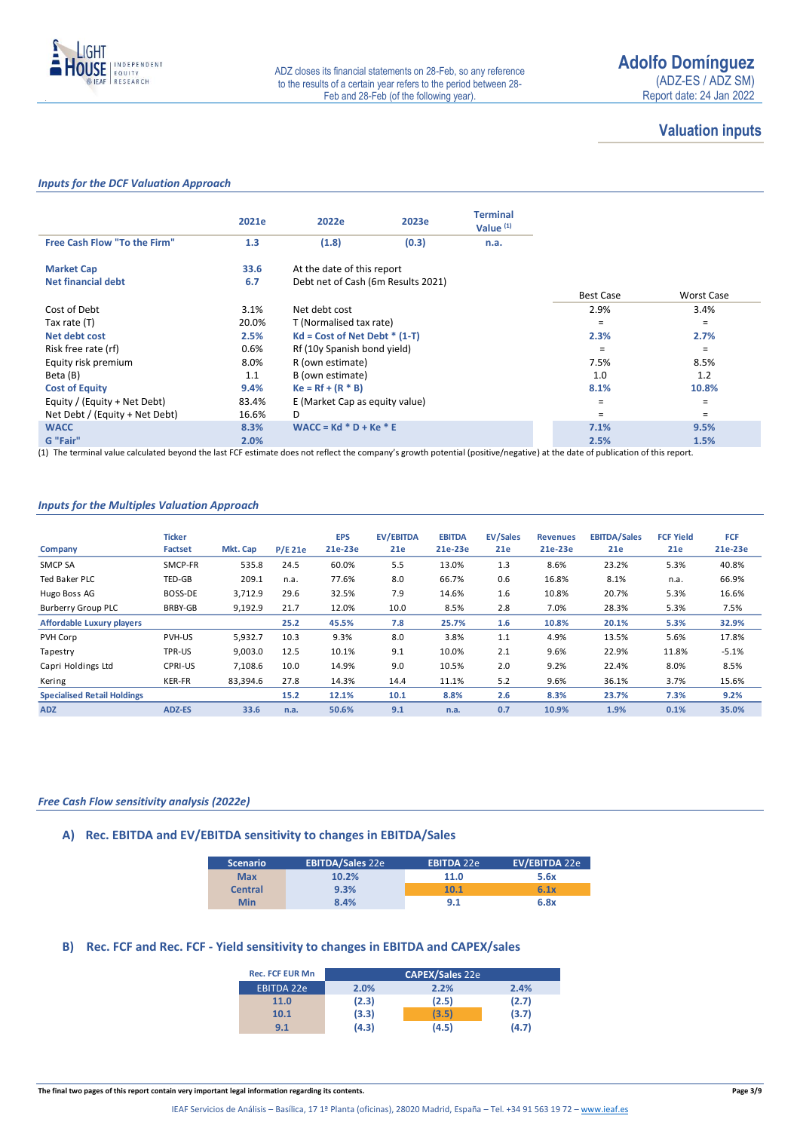

### **Valuation inputs**

### *Inputs for the DCF Valuation Approach*

|                                | 2021e | 2022e                              | 2023e | <b>Terminal</b><br>Value $(1)$ |                  |                   |
|--------------------------------|-------|------------------------------------|-------|--------------------------------|------------------|-------------------|
| Free Cash Flow "To the Firm"   | 1.3   | (1.8)                              | (0.3) | n.a.                           |                  |                   |
| <b>Market Cap</b>              | 33.6  | At the date of this report         |       |                                |                  |                   |
| Net financial debt             | 6.7   | Debt net of Cash (6m Results 2021) |       |                                |                  |                   |
|                                |       |                                    |       |                                | <b>Best Case</b> | <b>Worst Case</b> |
| Cost of Debt                   | 3.1%  | Net debt cost                      |       |                                | 2.9%             | 3.4%              |
| Tax rate (T)                   | 20.0% | T (Normalised tax rate)            |       |                                | $\equiv$         | $=$               |
| Net debt cost                  | 2.5%  | $Kd = Cost of Net Det * (1-T)$     |       |                                | 2.3%             | 2.7%              |
| Risk free rate (rf)            | 0.6%  | Rf (10y Spanish bond yield)        |       |                                | $\equiv$         | $\equiv$          |
| Equity risk premium            | 8.0%  | R (own estimate)                   |       |                                | 7.5%             | 8.5%              |
| Beta (B)                       | 1.1   | B (own estimate)                   |       |                                | 1.0              | 1.2               |
| <b>Cost of Equity</b>          | 9.4%  | $Ke = Rf + (R * B)$                |       |                                | 8.1%             | 10.8%             |
| Equity / (Equity + Net Debt)   | 83.4% | E (Market Cap as equity value)     |       |                                | Ξ                | $\equiv$          |
| Net Debt / (Equity + Net Debt) | 16.6% | D                                  |       |                                | Ξ                | $=$               |
| <b>WACC</b>                    | 8.3%  | $WACC = Kd * D + Ke * E$           |       |                                | 7.1%             | 9.5%              |
| G "Fair"                       | 2.0%  |                                    |       |                                | 2.5%             | 1.5%              |

(1) The terminal value calculated beyond the last FCF estimate does not reflect the company's growth potential (positive/negative) at the date of publication of this report.

### *Inputs for the Multiples Valuation Approach*

|                                    | <b>Ticker</b>  |          |        | <b>EPS</b> | <b>EV/EBITDA</b> | <b>EBITDA</b> | <b>EV/Sales</b> | <b>Revenues</b> | <b>EBITDA/Sales</b> | <b>FCF Yield</b> | FCF     |
|------------------------------------|----------------|----------|--------|------------|------------------|---------------|-----------------|-----------------|---------------------|------------------|---------|
| Company                            | <b>Factset</b> | Mkt. Cap | P/E21e | 21e-23e    | 21e              | 21e-23e       | 21e             | 21e-23e         | 21e                 | 21e              | 21e-23e |
| <b>SMCP SA</b>                     | SMCP-FR        | 535.8    | 24.5   | 60.0%      | 5.5              | 13.0%         | 1.3             | 8.6%            | 23.2%               | 5.3%             | 40.8%   |
| <b>Ted Baker PLC</b>               | <b>TED-GB</b>  | 209.1    | n.a.   | 77.6%      | 8.0              | 66.7%         | 0.6             | 16.8%           | 8.1%                | n.a.             | 66.9%   |
| Hugo Boss AG                       | BOSS-DE        | 3,712.9  | 29.6   | 32.5%      | 7.9              | 14.6%         | 1.6             | 10.8%           | 20.7%               | 5.3%             | 16.6%   |
| Burberry Group PLC                 | BRBY-GB        | 9,192.9  | 21.7   | 12.0%      | 10.0             | 8.5%          | 2.8             | 7.0%            | 28.3%               | 5.3%             | 7.5%    |
| <b>Affordable Luxury players</b>   |                |          | 25.2   | 45.5%      | 7.8              | 25.7%         | 1.6             | 10.8%           | 20.1%               | 5.3%             | 32.9%   |
| PVH Corp                           | PVH-US         | 5,932.7  | 10.3   | 9.3%       | 8.0              | 3.8%          | 1.1             | 4.9%            | 13.5%               | 5.6%             | 17.8%   |
| Tapestry                           | TPR-US         | 9,003.0  | 12.5   | 10.1%      | 9.1              | 10.0%         | 2.1             | 9.6%            | 22.9%               | 11.8%            | $-5.1%$ |
| Capri Holdings Ltd                 | <b>CPRI-US</b> | 7.108.6  | 10.0   | 14.9%      | 9.0              | 10.5%         | 2.0             | 9.2%            | 22.4%               | 8.0%             | 8.5%    |
| Kering                             | <b>KER-FR</b>  | 83,394.6 | 27.8   | 14.3%      | 14.4             | 11.1%         | 5.2             | 9.6%            | 36.1%               | 3.7%             | 15.6%   |
| <b>Specialised Retail Holdings</b> |                |          | 15.2   | 12.1%      | 10.1             | 8.8%          | 2.6             | 8.3%            | 23.7%               | 7.3%             | 9.2%    |
| <b>ADZ</b>                         | ADZ-ES         | 33.6     | n.a.   | 50.6%      | 9.1              | n.a.          | 0.7             | 10.9%           | 1.9%                | 0.1%             | 35.0%   |

### *Free Cash Flow sensitivity analysis (2022e)*

### **A) Rec. EBITDA and EV/EBITDA sensitivity to changes in EBITDA/Sales**

| <b>Scenario</b> | <b>EBITDA/Sales 22e</b> | <b>EBITDA 22e</b> | EV/EBITDA 22e |
|-----------------|-------------------------|-------------------|---------------|
| <b>Max</b>      | 10.2%                   | 11.0              | 5.6x          |
| <b>Central</b>  | 9.3%                    | 10.1              | 6.1x          |
| Min             | 8.4%                    | 9.1               | 6.8x          |

### **B) Rec. FCF and Rec. FCF - Yield sensitivity to changes in EBITDA and CAPEX/sales**

| <b>Rec. FCF EUR Mn</b> |       | <b>CAPEX/Sales 22e</b> |       |
|------------------------|-------|------------------------|-------|
| <b>EBITDA 22e</b>      | 2.0%  | 2.2%                   | 2.4%  |
| 11.0                   | (2.3) | (2.5)                  | (2.7) |
| 10.1                   | (3.3) | (3.5)                  | (3.7) |
| 9.1                    | (4.3) | (4.5)                  | (4.7) |

**The final two pages of this report contain very important legal information regarding its contents. Page 3/9**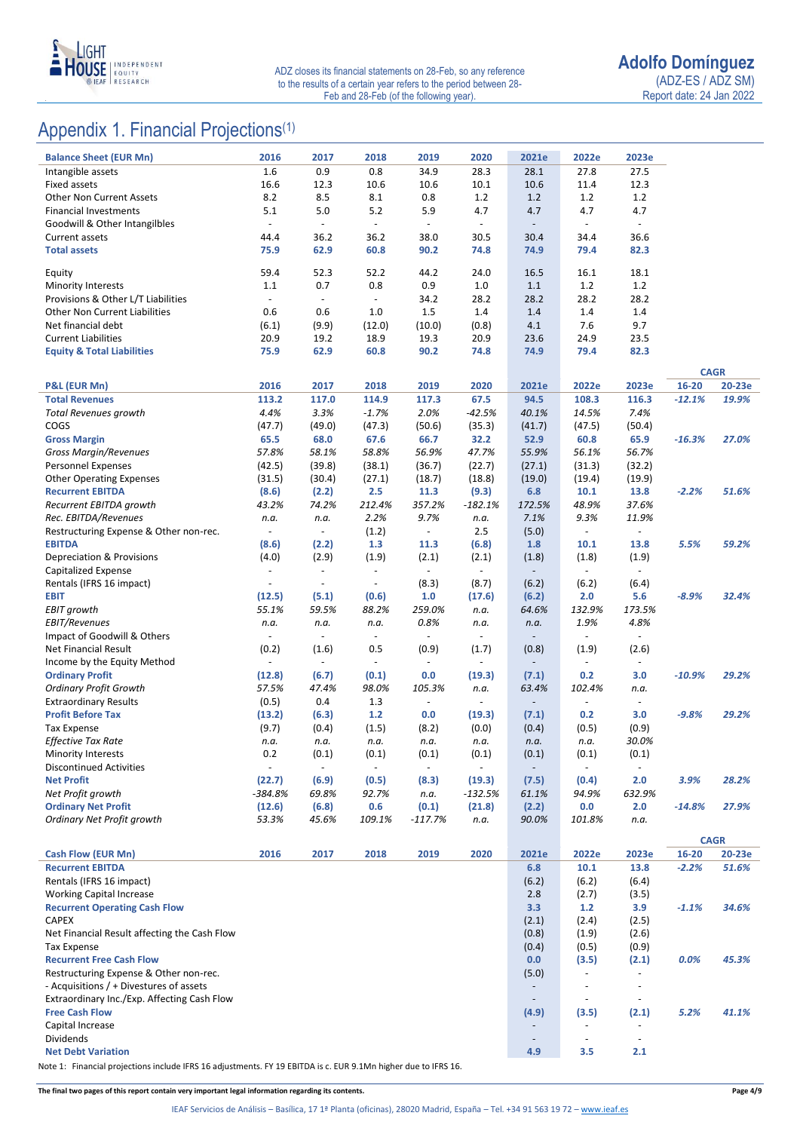

## Appendix 1. Financial Projections<sup>(1)</sup>

| <b>Balance Sheet (EUR Mn)</b>                                        | 2016                     | 2017                     | 2018                     | 2019                     | 2020                     | 2021e                                                | 2022e                                                | 2023e                                      |          |             |
|----------------------------------------------------------------------|--------------------------|--------------------------|--------------------------|--------------------------|--------------------------|------------------------------------------------------|------------------------------------------------------|--------------------------------------------|----------|-------------|
| Intangible assets                                                    | 1.6                      | 0.9                      | 0.8                      | 34.9                     | 28.3                     | 28.1                                                 | 27.8                                                 | 27.5                                       |          |             |
| <b>Fixed assets</b>                                                  | 16.6                     | 12.3                     | 10.6                     | 10.6                     | 10.1                     | 10.6                                                 | 11.4                                                 | 12.3                                       |          |             |
| <b>Other Non Current Assets</b>                                      | 8.2                      | 8.5                      | 8.1                      | 0.8                      | 1.2                      | 1.2                                                  | 1.2                                                  | 1.2                                        |          |             |
| <b>Financial Investments</b>                                         | 5.1                      | 5.0                      | $5.2$                    | 5.9                      | 4.7                      | 4.7                                                  | 4.7                                                  | 4.7                                        |          |             |
| Goodwill & Other Intangilbles                                        | $\overline{\phantom{a}}$ | $\overline{\phantom{a}}$ | $\blacksquare$           | $\blacksquare$           | $\omega$                 | $\Box$                                               | $\blacksquare$                                       | $\blacksquare$                             |          |             |
| <b>Current assets</b>                                                | 44.4                     | 36.2                     | 36.2                     | 38.0                     | 30.5                     | 30.4                                                 | 34.4                                                 | 36.6                                       |          |             |
| <b>Total assets</b>                                                  | 75.9                     | 62.9                     | 60.8                     | 90.2                     | 74.8                     | 74.9                                                 | 79.4                                                 | 82.3                                       |          |             |
| Equity                                                               | 59.4                     | 52.3                     | 52.2                     | 44.2                     | 24.0                     | 16.5                                                 | 16.1                                                 | 18.1                                       |          |             |
| Minority Interests                                                   | 1.1                      | 0.7                      | 0.8                      | 0.9                      | 1.0                      | 1.1                                                  | 1.2                                                  | 1.2                                        |          |             |
| Provisions & Other L/T Liabilities                                   | $\blacksquare$           | $\blacksquare$           | $\blacksquare$           | 34.2                     | 28.2                     | 28.2                                                 | 28.2                                                 | 28.2                                       |          |             |
| <b>Other Non Current Liabilities</b>                                 | 0.6                      | 0.6                      | 1.0                      | 1.5                      | 1.4                      | 1.4                                                  | 1.4                                                  | 1.4                                        |          |             |
| Net financial debt                                                   | (6.1)                    | (9.9)                    | (12.0)                   | (10.0)                   | (0.8)                    | 4.1                                                  | 7.6                                                  | 9.7                                        |          |             |
| <b>Current Liabilities</b>                                           | 20.9                     | 19.2                     | 18.9                     | 19.3                     | 20.9                     | 23.6                                                 | 24.9                                                 | 23.5                                       |          |             |
| <b>Equity &amp; Total Liabilities</b>                                | 75.9                     | 62.9                     | 60.8                     | 90.2                     | 74.8                     | 74.9                                                 | 79.4                                                 | 82.3                                       |          |             |
|                                                                      |                          |                          |                          |                          |                          |                                                      |                                                      |                                            |          | <b>CAGR</b> |
| <b>P&amp;L (EUR Mn)</b>                                              | 2016                     | 2017                     | 2018                     | 2019                     | 2020                     | 2021e                                                | 2022e                                                | 2023e                                      | 16-20    | 20-23e      |
| <b>Total Revenues</b>                                                | 113.2                    | 117.0                    | 114.9                    | 117.3                    | 67.5                     | 94.5                                                 | 108.3                                                | 116.3                                      | $-12.1%$ | 19.9%       |
| <b>Total Revenues growth</b>                                         | 4.4%                     | 3.3%                     | $-1.7%$                  | 2.0%                     | $-42.5%$                 | 40.1%                                                | 14.5%                                                | 7.4%                                       |          |             |
| COGS                                                                 | (47.7)                   | (49.0)                   | (47.3)                   | (50.6)                   | (35.3)                   | (41.7)                                               | (47.5)                                               | (50.4)                                     |          |             |
| <b>Gross Margin</b>                                                  | 65.5                     | 68.0                     | 67.6                     | 66.7                     | 32.2                     | 52.9                                                 | 60.8                                                 | 65.9                                       | $-16.3%$ | 27.0%       |
| <b>Gross Margin/Revenues</b>                                         | 57.8%                    | 58.1%                    | 58.8%                    | 56.9%                    | 47.7%                    | 55.9%                                                | 56.1%                                                | 56.7%                                      |          |             |
| Personnel Expenses                                                   | (42.5)                   | (39.8)                   | (38.1)                   | (36.7)                   | (22.7)                   | (27.1)                                               | (31.3)                                               | (32.2)                                     |          |             |
| <b>Other Operating Expenses</b>                                      | (31.5)                   | (30.4)                   | (27.1)                   | (18.7)                   | (18.8)                   | (19.0)                                               | (19.4)                                               | (19.9)                                     |          |             |
| <b>Recurrent EBITDA</b>                                              | (8.6)                    | (2.2)                    | 2.5                      | 11.3                     | (9.3)                    | 6.8                                                  | 10.1                                                 | 13.8                                       | $-2.2%$  | 51.6%       |
| Recurrent EBITDA growth                                              | 43.2%                    | 74.2%                    | 212.4%                   | 357.2%                   | $-182.1%$                | 172.5%                                               | 48.9%                                                | 37.6%                                      |          |             |
| Rec. EBITDA/Revenues                                                 | n.a.<br>$\blacksquare$   | n.a.<br>$\blacksquare$   | 2.2%                     | 9.7%                     | n.a.                     | 7.1%                                                 | 9.3%                                                 | 11.9%                                      |          |             |
| Restructuring Expense & Other non-rec.<br><b>EBITDA</b>              | (8.6)                    | (2.2)                    | (1.2)<br>1.3             | $\blacksquare$<br>11.3   | 2.5<br>(6.8)             | (5.0)<br>1.8                                         | $\overline{\phantom{a}}$<br>10.1                     | $\overline{\phantom{a}}$<br>13.8           | 5.5%     | 59.2%       |
| Depreciation & Provisions                                            | (4.0)                    | (2.9)                    | (1.9)                    | (2.1)                    | (2.1)                    | (1.8)                                                | (1.8)                                                | (1.9)                                      |          |             |
| Capitalized Expense                                                  | $\blacksquare$           | $\overline{\phantom{a}}$ | $\blacksquare$           | $\overline{\phantom{a}}$ | $\blacksquare$           | $\overline{\phantom{a}}$                             | $\sim$                                               | $\overline{\phantom{a}}$                   |          |             |
| Rentals (IFRS 16 impact)                                             |                          | $\overline{\phantom{a}}$ | $\overline{\phantom{a}}$ | (8.3)                    | (8.7)                    | (6.2)                                                | (6.2)                                                | (6.4)                                      |          |             |
| <b>EBIT</b>                                                          | (12.5)                   | (5.1)                    | (0.6)                    | 1.0                      | (17.6)                   | (6.2)                                                | 2.0                                                  | 5.6                                        | $-8.9%$  | 32.4%       |
| <b>EBIT growth</b>                                                   | 55.1%                    | 59.5%                    | 88.2%                    | 259.0%                   | n.a.                     | 64.6%                                                | 132.9%                                               | 173.5%                                     |          |             |
| <b>EBIT/Revenues</b>                                                 | n.a.                     | n.a.                     | n.a.                     | 0.8%                     | n.a.                     | n.a.                                                 | 1.9%                                                 | 4.8%                                       |          |             |
| Impact of Goodwill & Others                                          | $\overline{\phantom{a}}$ | $\blacksquare$           | $\overline{\phantom{a}}$ | $\overline{\phantom{a}}$ | $\overline{\phantom{a}}$ | $\overline{\phantom{a}}$                             | $\blacksquare$                                       | $\overline{\phantom{a}}$                   |          |             |
| Net Financial Result                                                 | (0.2)                    | (1.6)                    | 0.5                      | (0.9)                    | (1.7)                    | (0.8)                                                | (1.9)                                                | (2.6)                                      |          |             |
| Income by the Equity Method                                          |                          | $\blacksquare$           | $\overline{\phantom{a}}$ | $\overline{\phantom{a}}$ | $\overline{\phantom{a}}$ | $\overline{\phantom{a}}$                             | $\overline{\phantom{a}}$                             | $\overline{\phantom{a}}$                   |          |             |
| <b>Ordinary Profit</b>                                               | (12.8)                   | (6.7)                    | (0.1)                    | 0.0                      | (19.3)                   | (7.1)                                                | 0.2                                                  | 3.0                                        | $-10.9%$ | 29.2%       |
| <b>Ordinary Profit Growth</b>                                        | 57.5%                    | 47.4%                    | 98.0%                    | 105.3%                   | n.a.                     | 63.4%                                                | 102.4%                                               | n.a.                                       |          |             |
| <b>Extraordinary Results</b><br><b>Profit Before Tax</b>             | (0.5)                    | 0.4                      | 1.3                      | ÷,                       | ÷,                       | $\overline{\phantom{a}}$                             | $\blacksquare$                                       | $\blacksquare$<br>3.0                      | $-9.8%$  | 29.2%       |
| <b>Tax Expense</b>                                                   | (13.2)<br>(9.7)          | (6.3)<br>(0.4)           | $1.2$<br>(1.5)           | 0.0<br>(8.2)             | (19.3)<br>(0.0)          | (7.1)<br>(0.4)                                       | 0.2<br>(0.5)                                         | (0.9)                                      |          |             |
| Effective Tax Rate                                                   | n.a.                     | n.a.                     | n.a.                     | n.a.                     | n.a.                     | n.a.                                                 | n.a.                                                 | 30.0%                                      |          |             |
| <b>Minority Interests</b>                                            | 0.2                      | (0.1)                    | (0.1)                    | (0.1)                    | (0.1)                    | (0.1)                                                | (0.1)                                                | (0.1)                                      |          |             |
| <b>Discontinued Activities</b>                                       |                          | $\overline{a}$           |                          | $\overline{\phantom{a}}$ |                          |                                                      |                                                      |                                            |          |             |
| <b>Net Profit</b>                                                    | (22.7)                   | (6.9)                    | (0.5)                    | (8.3)                    | (19.3)                   | (7.5)                                                | (0.4)                                                | 2.0                                        | 3.9%     | 28.2%       |
| Net Profit growth                                                    | $-384.8%$                | 69.8%                    | 92.7%                    | n.a.                     | -132.5%                  | 61.1%                                                | 94.9%                                                | 632.9%                                     |          |             |
| <b>Ordinary Net Profit</b>                                           | (12.6)                   | (6.8)                    | 0.6                      | (0.1)                    | (21.8)                   | (2.2)                                                | 0.0                                                  | 2.0                                        | $-14.8%$ | 27.9%       |
| Ordinary Net Profit growth                                           | 53.3%                    | 45.6%                    | 109.1%                   | $-117.7%$                | n.a.                     | 90.0%                                                | 101.8%                                               | n.a.                                       |          |             |
|                                                                      |                          |                          |                          |                          |                          |                                                      |                                                      |                                            |          | <b>CAGR</b> |
| Cash Flow (EUR Mn)                                                   | 2016                     | 2017                     | 2018                     | 2019                     | 2020                     | 2021e                                                | 2022e                                                | 2023e                                      | 16-20    | 20-23e      |
| <b>Recurrent EBITDA</b>                                              |                          |                          |                          |                          |                          | 6.8                                                  | 10.1                                                 | 13.8                                       | $-2.2%$  | 51.6%       |
| Rentals (IFRS 16 impact)                                             |                          |                          |                          |                          |                          | (6.2)                                                | (6.2)                                                | (6.4)                                      |          |             |
| <b>Working Capital Increase</b>                                      |                          |                          |                          |                          |                          | 2.8                                                  | (2.7)                                                | (3.5)                                      |          |             |
| <b>Recurrent Operating Cash Flow</b>                                 |                          |                          |                          |                          |                          | 3.3                                                  | $1.2$                                                | 3.9                                        | $-1.1%$  | 34.6%       |
| <b>CAPEX</b>                                                         |                          |                          |                          |                          |                          | (2.1)                                                | (2.4)                                                | (2.5)                                      |          |             |
| Net Financial Result affecting the Cash Flow                         |                          |                          |                          |                          |                          | (0.8)                                                | (1.9)                                                | (2.6)                                      |          |             |
| <b>Tax Expense</b>                                                   |                          |                          |                          |                          |                          | (0.4)                                                | (0.5)                                                | (0.9)                                      |          |             |
| <b>Recurrent Free Cash Flow</b>                                      |                          |                          |                          |                          |                          | 0.0                                                  | (3.5)                                                | (2.1)                                      | 0.0%     | 45.3%       |
| Restructuring Expense & Other non-rec.                               |                          |                          |                          |                          |                          | (5.0)                                                | $\overline{\phantom{a}}$                             |                                            |          |             |
| - Acquisitions / + Divestures of assets                              |                          |                          |                          |                          |                          | $\overline{\phantom{a}}$<br>$\overline{\phantom{a}}$ | $\overline{\phantom{a}}$<br>$\overline{\phantom{a}}$ | $\overline{\phantom{a}}$<br>$\blacksquare$ |          |             |
| Extraordinary Inc./Exp. Affecting Cash Flow<br><b>Free Cash Flow</b> |                          |                          |                          |                          |                          | (4.9)                                                | (3.5)                                                | (2.1)                                      | 5.2%     | 41.1%       |
| Capital Increase                                                     |                          |                          |                          |                          |                          | $\overline{\phantom{a}}$                             | $\overline{\phantom{a}}$                             | $\overline{\phantom{a}}$                   |          |             |
| Dividends                                                            |                          |                          |                          |                          |                          | $\overline{\phantom{a}}$                             | $\overline{\phantom{a}}$                             | $\overline{\phantom{a}}$                   |          |             |
| <b>Net Debt Variation</b>                                            |                          |                          |                          |                          |                          | 4.9                                                  | 3.5                                                  | 2.1                                        |          |             |
|                                                                      |                          |                          |                          |                          |                          |                                                      |                                                      |                                            |          |             |

Note 1: Financial projections include IFRS 16 adjustments. FY 19 EBITDA is c. EUR 9.1Mn higher due to IFRS 16.

**The final two pages of this report contain very important legal information regarding its contents. Page 4/9**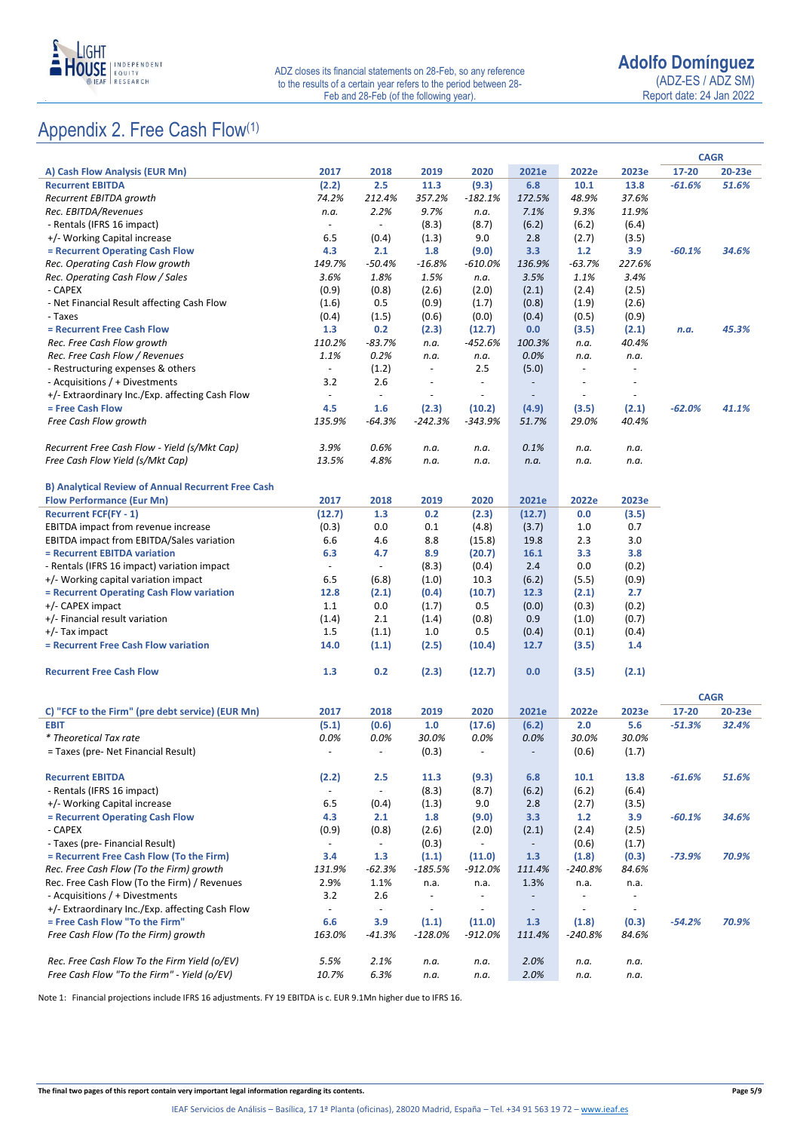

## Appendix 2. Free Cash Flow(1)

|                                                           |                          |                          |                          |                          |                          |                          |                          |          | <b>CAGR</b> |
|-----------------------------------------------------------|--------------------------|--------------------------|--------------------------|--------------------------|--------------------------|--------------------------|--------------------------|----------|-------------|
| A) Cash Flow Analysis (EUR Mn)                            | 2017                     | 2018                     | 2019                     | 2020                     | 2021e                    | 2022e                    | 2023e                    | 17-20    | 20-23e      |
| <b>Recurrent EBITDA</b>                                   | (2.2)                    | 2.5                      | 11.3                     | (9.3)                    | 6.8                      | 10.1                     | 13.8                     | $-61.6%$ | 51.6%       |
| Recurrent EBITDA growth                                   | 74.2%                    | 212.4%                   | 357.2%                   | $-182.1%$                | 172.5%                   | 48.9%                    | 37.6%                    |          |             |
| Rec. EBITDA/Revenues                                      | n.a.                     | 2.2%                     | 9.7%                     | n.a.                     | 7.1%                     | 9.3%                     | 11.9%                    |          |             |
| - Rentals (IFRS 16 impact)                                | $\blacksquare$           | $\overline{\phantom{a}}$ | (8.3)                    | (8.7)                    | (6.2)                    | (6.2)                    | (6.4)                    |          |             |
| +/- Working Capital increase                              | 6.5                      | (0.4)                    | (1.3)                    | 9.0                      | 2.8                      | (2.7)                    | (3.5)                    |          |             |
| = Recurrent Operating Cash Flow                           | 4.3                      | 2.1                      | 1.8                      | (9.0)                    | 3.3                      | 1.2                      | 3.9                      | $-60.1%$ | 34.6%       |
| Rec. Operating Cash Flow growth                           | 149.7%                   | $-50.4%$                 | $-16.8%$                 | $-610.0%$                | 136.9%                   | $-63.7%$                 | 227.6%                   |          |             |
| Rec. Operating Cash Flow / Sales                          | 3.6%                     | 1.8%                     | 1.5%                     | n.a.                     | 3.5%                     | 1.1%                     | 3.4%                     |          |             |
| - CAPEX                                                   | (0.9)                    | (0.8)                    | (2.6)                    | (2.0)                    | (2.1)                    | (2.4)                    | (2.5)                    |          |             |
| - Net Financial Result affecting Cash Flow                | (1.6)                    | 0.5                      | (0.9)                    | (1.7)                    | (0.8)                    | (1.9)                    | (2.6)                    |          |             |
| - Taxes                                                   | (0.4)                    | (1.5)                    | (0.6)                    | (0.0)                    | (0.4)                    | (0.5)                    | (0.9)                    |          |             |
| = Recurrent Free Cash Flow                                | 1.3                      | 0.2                      | (2.3)                    | (12.7)                   | 0.0                      | (3.5)                    | (2.1)                    | n.a.     | 45.3%       |
| Rec. Free Cash Flow growth                                | 110.2%                   | $-83.7%$                 | n.a.                     | -452.6%                  | 100.3%                   | n.a.                     | 40.4%                    |          |             |
| Rec. Free Cash Flow / Revenues                            | 1.1%                     | 0.2%                     | n.a.                     | n.a.                     | 0.0%                     | n.a.                     | n.a.                     |          |             |
| - Restructuring expenses & others                         | $\overline{\phantom{a}}$ | (1.2)                    | $\overline{\phantom{a}}$ | 2.5                      | (5.0)                    | $\overline{\phantom{a}}$ |                          |          |             |
| - Acquisitions / + Divestments                            | 3.2                      | 2.6                      | $\overline{\phantom{a}}$ | $\overline{\phantom{m}}$ | $\overline{\phantom{a}}$ | $\overline{\phantom{a}}$ |                          |          |             |
| +/- Extraordinary Inc./Exp. affecting Cash Flow           | $\overline{\phantom{a}}$ | $\blacksquare$           | $\blacksquare$           |                          | $\overline{\phantom{a}}$ | $\overline{\phantom{a}}$ |                          |          |             |
| = Free Cash Flow                                          | 4.5                      | 1.6                      | (2.3)                    | (10.2)                   | (4.9)                    | (3.5)                    | (2.1)                    | $-62.0%$ | 41.1%       |
| Free Cash Flow growth                                     | 135.9%                   | -64.3%                   | -242.3%                  | -343.9%                  | 51.7%                    | 29.0%                    | 40.4%                    |          |             |
| Recurrent Free Cash Flow - Yield (s/Mkt Cap)              | 3.9%                     | 0.6%                     | n.a.                     |                          | 0.1%                     | n.a.                     |                          |          |             |
| Free Cash Flow Yield (s/Mkt Cap)                          | 13.5%                    | 4.8%                     | n.a.                     | n.a.<br>n.a.             | n.a.                     | n.a.                     | n.a.<br>n.a.             |          |             |
|                                                           |                          |                          |                          |                          |                          |                          |                          |          |             |
| <b>B) Analytical Review of Annual Recurrent Free Cash</b> |                          |                          |                          |                          |                          |                          |                          |          |             |
| <b>Flow Performance (Eur Mn)</b>                          | 2017                     | 2018                     | 2019                     | 2020                     | 2021e                    | 2022e                    | 2023e                    |          |             |
| <b>Recurrent FCF(FY - 1)</b>                              | (12.7)                   | 1.3                      | 0.2                      | (2.3)                    | (12.7)                   | 0.0                      | (3.5)                    |          |             |
| EBITDA impact from revenue increase                       | (0.3)                    | 0.0                      | 0.1                      | (4.8)                    | (3.7)                    | 1.0                      | 0.7                      |          |             |
| EBITDA impact from EBITDA/Sales variation                 | 6.6                      | 4.6                      | 8.8                      | (15.8)                   | 19.8                     | 2.3                      | 3.0                      |          |             |
| = Recurrent EBITDA variation                              | 6.3                      | 4.7                      | 8.9                      | (20.7)                   | 16.1                     | 3.3                      | 3.8                      |          |             |
| - Rentals (IFRS 16 impact) variation impact               | $\overline{\phantom{a}}$ | $\Box$                   | (8.3)                    | (0.4)                    | 2.4                      | 0.0                      | (0.2)                    |          |             |
| +/- Working capital variation impact                      | 6.5                      | (6.8)                    | (1.0)                    | 10.3                     | (6.2)                    | (5.5)                    | (0.9)                    |          |             |
| = Recurrent Operating Cash Flow variation                 | 12.8                     | (2.1)                    | (0.4)                    | (10.7)                   | 12.3                     | (2.1)                    | 2.7                      |          |             |
| +/- CAPEX impact                                          | 1.1                      | 0.0                      | (1.7)                    | 0.5                      | (0.0)                    | (0.3)                    | (0.2)                    |          |             |
| +/- Financial result variation                            | (1.4)                    | 2.1                      | (1.4)                    | (0.8)                    | 0.9                      | (1.0)                    | (0.7)                    |          |             |
| $+/-$ Tax impact                                          | 1.5                      | (1.1)                    | 1.0                      | 0.5                      | (0.4)                    | (0.1)                    | (0.4)                    |          |             |
| = Recurrent Free Cash Flow variation                      | 14.0                     | (1.1)                    | (2.5)                    | (10.4)                   | 12.7                     | (3.5)                    | 1.4                      |          |             |
|                                                           |                          |                          |                          |                          |                          |                          |                          |          |             |
| <b>Recurrent Free Cash Flow</b>                           | 1.3                      | 0.2                      | (2.3)                    | (12.7)                   | 0.0                      | (3.5)                    | (2.1)                    |          |             |
|                                                           |                          |                          |                          |                          |                          |                          |                          |          | <b>CAGR</b> |
| C) "FCF to the Firm" (pre debt service) (EUR Mn)          | 2017                     | 2018                     | 2019                     | 2020                     | 2021e                    | 2022e                    | 2023e                    | 17-20    | 20-23e      |
| <b>EBIT</b>                                               | (5.1)                    | (0.6)                    | 1.0                      | (17.6)                   | (6.2)                    | 2.0                      | 5.6                      | $-51.3%$ | 32.4%       |
| * Theoretical Tax rate                                    | 0.0%                     | 0.0%                     | 30.0%                    | 0.0%                     | 0.0%                     | 30.0%                    | 30.0%                    |          |             |
| = Taxes (pre- Net Financial Result)                       | $\overline{\phantom{a}}$ | $\overline{\phantom{a}}$ | (0.3)                    |                          | $\overline{\phantom{m}}$ | (0.6)                    | (1.7)                    |          |             |
|                                                           |                          |                          |                          |                          |                          |                          |                          |          |             |
| <b>Recurrent EBITDA</b>                                   | (2.2)                    | 2.5                      | 11.3                     | (9.3)                    | 6.8                      | 10.1                     | 13.8                     | $-61.6%$ | 51.6%       |
| - Rentals (IFRS 16 impact)                                | $\blacksquare$           | $\overline{\phantom{a}}$ | (8.3)                    | (8.7)                    | (6.2)                    | (6.2)                    | (6.4)                    |          |             |
| +/- Working Capital increase                              | 6.5                      | (0.4)                    | (1.3)                    | 9.0                      | 2.8                      | (2.7)                    | (3.5)                    |          |             |
| = Recurrent Operating Cash Flow                           | 4.3                      | 2.1                      | 1.8                      | (9.0)                    | 3.3                      | $1.2$                    | 3.9                      | $-60.1%$ | 34.6%       |
| - CAPEX                                                   | (0.9)                    | (0.8)                    | (2.6)                    | (2.0)                    | (2.1)                    | (2.4)                    | (2.5)                    |          |             |
| - Taxes (pre- Financial Result)                           | $\overline{\phantom{a}}$ | $\overline{\phantom{a}}$ | (0.3)                    | $\overline{\phantom{a}}$ | $\overline{\phantom{a}}$ | (0.6)                    | (1.7)                    |          |             |
| = Recurrent Free Cash Flow (To the Firm)                  | 3.4                      | 1.3                      | (1.1)                    | (11.0)                   | 1.3                      | (1.8)                    | (0.3)                    | -73.9%   | 70.9%       |
| Rec. Free Cash Flow (To the Firm) growth                  | 131.9%                   | $-62.3%$                 | $-185.5%$                | -912.0%                  | 111.4%                   | $-240.8%$                | 84.6%                    |          |             |
| Rec. Free Cash Flow (To the Firm) / Revenues              | 2.9%                     | 1.1%                     | n.a.                     | n.a.                     | 1.3%                     | n.a.                     | n.a.                     |          |             |
| - Acquisitions / + Divestments                            | 3.2                      | 2.6                      | $\overline{\phantom{a}}$ | $\overline{\phantom{m}}$ | $\overline{\phantom{a}}$ | $\overline{\phantom{a}}$ | $\overline{\phantom{a}}$ |          |             |
| +/- Extraordinary Inc./Exp. affecting Cash Flow           | $\overline{\phantom{a}}$ | $\overline{\phantom{a}}$ | $\overline{\phantom{a}}$ | $\overline{\phantom{m}}$ | $\overline{\phantom{a}}$ | $\overline{\phantom{a}}$ | $\overline{\phantom{a}}$ |          |             |
| = Free Cash Flow "To the Firm"                            | 6.6                      | 3.9                      | (1.1)                    | (11.0)                   | 1.3                      | (1.8)                    | (0.3)                    | $-54.2%$ | 70.9%       |
| Free Cash Flow (To the Firm) growth                       | 163.0%                   | -41.3%                   | -128.0%                  | -912.0%                  | 111.4%                   | -240.8%                  | 84.6%                    |          |             |
| Rec. Free Cash Flow To the Firm Yield (o/EV)              | 5.5%                     | 2.1%                     | n.a.                     | n.a.                     | 2.0%                     | n.a.                     | n.a.                     |          |             |
| Free Cash Flow "To the Firm" - Yield (o/EV)               | 10.7%                    | 6.3%                     | n.a.                     | n.a.                     | 2.0%                     | n.a.                     | n.a.                     |          |             |
|                                                           |                          |                          |                          |                          |                          |                          |                          |          |             |

Note 1: Financial projections include IFRS 16 adjustments. FY 19 EBITDA is c. EUR 9.1Mn higher due to IFRS 16.

**The final two pages of this report contain very important legal information regarding its contents. Page 5/9**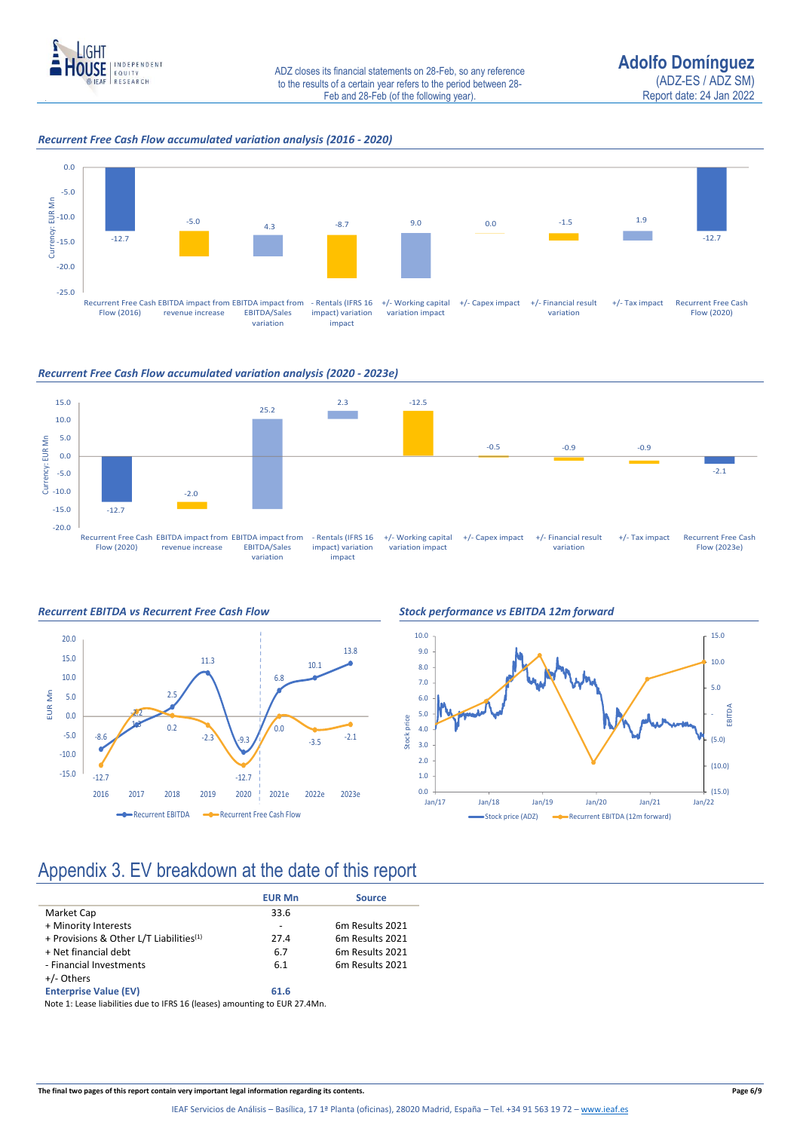

### *Recurrent Free Cash Flow accumulated variation analysis (2016 - 2020)*



*Recurrent Free Cash Flow accumulated variation analysis (2020 - 2023e)*









## Appendix 3. EV breakdown at the date of this report

|                                                     | <b>EUR Mn</b> | <b>Source</b>               |
|-----------------------------------------------------|---------------|-----------------------------|
| Market Cap                                          | 33.6          |                             |
| + Minority Interests                                |               | 6 <sub>m</sub> Results 2021 |
| + Provisions & Other L/T Liabilities <sup>(1)</sup> | 27.4          | 6 <sub>m</sub> Results 2021 |
| + Net financial debt                                | 6.7           | 6 <sub>m</sub> Results 2021 |
| - Financial Investments                             | 6.1           | 6 <sub>m</sub> Results 2021 |
| +/- Others                                          |               |                             |
| <b>Enterprise Value (EV)</b>                        | 61.6          |                             |

Note 1: Lease liabilities due to IFRS 16 (leases) amounting to EUR 27.4Mn.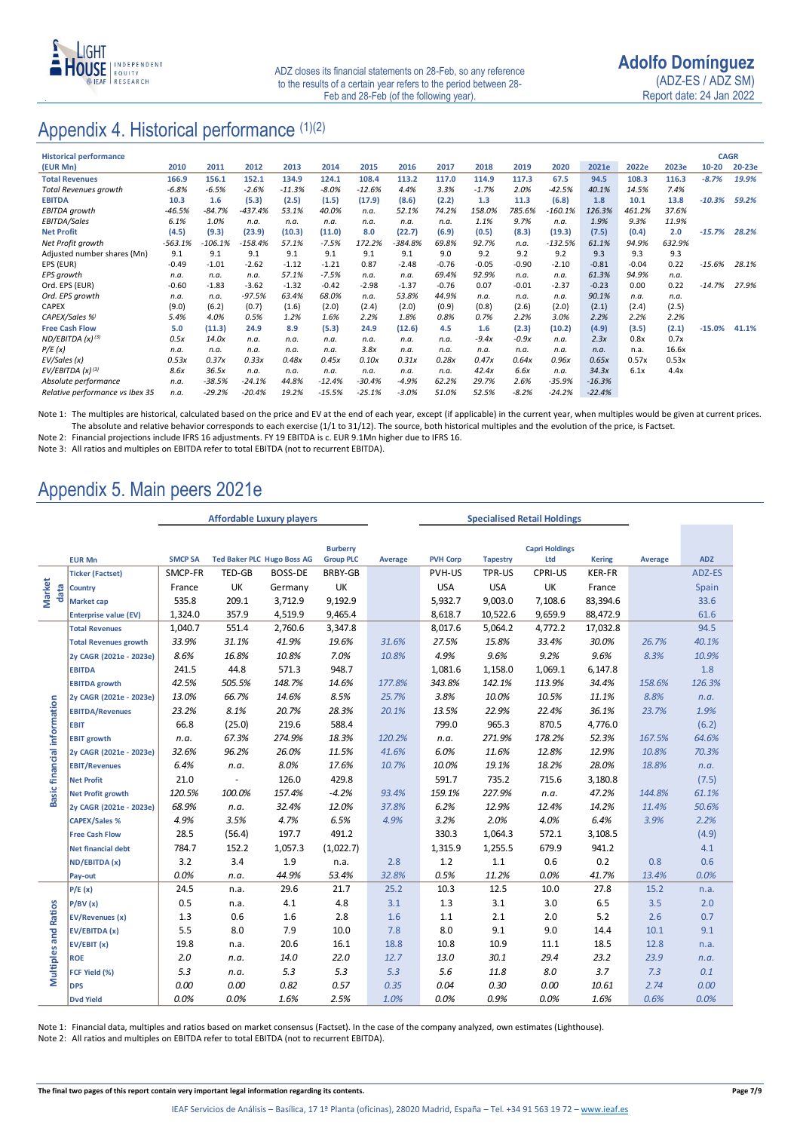

### Appendix 4. Historical performance (1)(2)

| <b>Historical performance</b>   |           |           |           |          |          |          |           |         |         |         |           |          |         |        | <b>CAGR</b> |        |
|---------------------------------|-----------|-----------|-----------|----------|----------|----------|-----------|---------|---------|---------|-----------|----------|---------|--------|-------------|--------|
| (EUR Mn)                        | 2010      | 2011      | 2012      | 2013     | 2014     | 2015     | 2016      | 2017    | 2018    | 2019    | 2020      | 2021e    | 2022e   | 2023e  | $10 - 20$   | 20-23e |
| <b>Total Revenues</b>           | 166.9     | 156.1     | 152.1     | 134.9    | 124.1    | 108.4    | 113.2     | 117.0   | 114.9   | 117.3   | 67.5      | 94.5     | 108.3   | 116.3  | $-8.7%$     | 19.9%  |
| <b>Total Revenues growth</b>    | $-6.8%$   | $-6.5%$   | $-2.6%$   | $-11.3%$ | $-8.0\%$ | $-12.6%$ | 4.4%      | 3.3%    | $-1.7%$ | 2.0%    | $-42.5%$  | 40.1%    | 14.5%   | 7.4%   |             |        |
| <b>EBITDA</b>                   | 10.3      | 1.6       | (5.3)     | (2.5)    | (1.5)    | (17.9)   | (8.6)     | (2.2)   | 1.3     | 11.3    | (6.8)     | 1.8      | 10.1    | 13.8   | $-10.3%$    | 59.2%  |
| EBITDA growth                   | $-46.5%$  | $-84.7%$  | $-437.4%$ | 53.1%    | 40.0%    | n.a.     | 52.1%     | 74.2%   | 158.0%  | 785.6%  | $-160.1%$ | 126.3%   | 461.2%  | 37.6%  |             |        |
| EBITDA/Sales                    | 6.1%      | 1.0%      | n.a.      | n.a.     | n.a.     | n.a.     | n.a.      | n.a.    | 1.1%    | 9.7%    | n.a.      | 1.9%     | 9.3%    | 11.9%  |             |        |
| <b>Net Profit</b>               | (4.5)     | (9.3)     | (23.9)    | (10.3)   | (11.0)   | 8.0      | (22.7)    | (6.9)   | (0.5)   | (8.3)   | (19.3)    | (7.5)    | (0.4)   | 2.0    | $-15.7%$    | 28.2%  |
| Net Profit growth               | $-563.1%$ | $-106.1%$ | $-158.4%$ | 57.1%    | $-7.5%$  | 172.2%   | $-384.8%$ | 69.8%   | 92.7%   | n.a.    | $-132.5%$ | 61.1%    | 94.9%   | 632.9% |             |        |
| Adjusted number shares (Mn)     | 9.1       | 9.1       | 9.1       | 9.1      | 9.1      | 9.1      | 9.1       | 9.0     | 9.2     | 9.2     | 9.2       | 9.3      | 9.3     | 9.3    |             |        |
| EPS (EUR)                       | $-0.49$   | $-1.01$   | $-2.62$   | $-1.12$  | $-1.21$  | 0.87     | $-2.48$   | $-0.76$ | $-0.05$ | $-0.90$ | $-2.10$   | $-0.81$  | $-0.04$ | 0.22   | $-15.6%$    | 28.1%  |
| EPS growth                      | n.a.      | n.a.      | n.a.      | 57.1%    | $-7.5%$  | n.a.     | n.a.      | 69.4%   | 92.9%   | n.a.    | n.a.      | 61.3%    | 94.9%   | n.a.   |             |        |
| Ord. EPS (EUR)                  | $-0.60$   | $-1.83$   | $-3.62$   | $-1.32$  | $-0.42$  | $-2.98$  | $-1.37$   | $-0.76$ | 0.07    | $-0.01$ | $-2.37$   | $-0.23$  | 0.00    | 0.22   | $-14.7%$    | 27.9%  |
| Ord. EPS growth                 | n.a.      | n.a.      | $-97.5%$  | 63.4%    | 68.0%    | n.a.     | 53.8%     | 44.9%   | n.a.    | n.a.    | n.a.      | 90.1%    | n.a.    | n.a.   |             |        |
| CAPEX                           | (9.0)     | (6.2)     | (0.7)     | (1.6)    | (2.0)    | (2.4)    | (2.0)     | (0.9)   | (0.8)   | (2.6)   | (2.0)     | (2.1)    | (2.4)   | (2.5)  |             |        |
| CAPEX/Sales %                   | 5.4%      | 4.0%      | 0.5%      | 1.2%     | 1.6%     | 2.2%     | 1.8%      | 0.8%    | 0.7%    | 2.2%    | 3.0%      | 2.2%     | 2.2%    | 2.2%   |             |        |
| <b>Free Cash Flow</b>           | 5.0       | (11.3)    | 24.9      | 8.9      | (5.3)    | 24.9     | (12.6)    | 4.5     | 1.6     | (2.3)   | (10.2)    | (4.9)    | (3.5)   | (2.1)  | $-15.0%$    | 41.1%  |
| ND/EBITDA $(x)^{(3)}$           | 0.5x      | 14.0x     | n.a.      | n.a.     | n.a.     | n.a.     | n.a.      | n.a.    | $-9.4x$ | $-0.9x$ | n.a.      | 2.3x     | 0.8x    | 0.7x   |             |        |
| P/E(x)                          | n.a.      | n.a.      | n.a.      | n.a.     | n.a.     | 3.8x     | n.a.      | n.a.    | n.a.    | n.a.    | n.a.      | n.a.     | n.a.    | 16.6x  |             |        |
| EV/Sales (x)                    | 0.53x     | 0.37x     | 0.33x     | 0.48x    | 0.45x    | 0.10x    | 0.31x     | 0.28x   | 0.47x   | 0.64x   | 0.96x     | 0.65x    | 0.57x   | 0.53x  |             |        |
| $EV/EBITDA (x)^{(3)}$           | 8.6x      | 36.5x     | n.a.      | n.a.     | n.a.     | n.a.     | n.a.      | n.a.    | 42.4x   | 6.6x    | n.a.      | 34.3x    | 6.1x    | 4.4x   |             |        |
| Absolute performance            | n.a.      | $-38.5%$  | $-24.1%$  | 44.8%    | $-12.4%$ | $-30.4%$ | $-4.9%$   | 62.2%   | 29.7%   | 2.6%    | $-35.9%$  | $-16.3%$ |         |        |             |        |
| Relative performance vs Ibex 35 | n.a.      | $-29.2%$  | $-20.4%$  | 19.2%    | $-15.5%$ | $-25.1%$ | $-3.0%$   | 51.0%   | 52.5%   | $-8.2%$ | $-24.2%$  | $-22.4%$ |         |        |             |        |

Note 1: The multiples are historical, calculated based on the price and EV at the end of each year, except (if applicable) in the current year, when multiples would be given at current prices. The absolute and relative behavior corresponds to each exercise (1/1 to 31/12). The source, both historical multiples and the evolution of the price, is Factset.

Note 2: Financial projections include IFRS 16 adjustments. FY 19 EBITDA is c. EUR 9.1Mn higher due to IFRS 16.

Note 3: All ratios and multiples on EBITDA refer to total EBITDA (not to recurrent EBITDA).

### Appendix 5. Main peers 2021e

|                             |                              | <b>Affordable Luxury players</b> |        |                                   |                  |         | <b>Specialised Retail Holdings</b> |                 |                       |               |         |            |
|-----------------------------|------------------------------|----------------------------------|--------|-----------------------------------|------------------|---------|------------------------------------|-----------------|-----------------------|---------------|---------|------------|
|                             |                              |                                  |        |                                   |                  |         |                                    |                 |                       |               |         |            |
|                             |                              |                                  |        |                                   | <b>Burberry</b>  |         |                                    |                 | <b>Capri Holdings</b> |               |         |            |
|                             | <b>EUR Mn</b>                | <b>SMCP SA</b>                   |        | <b>Ted Baker PLC Hugo Boss AG</b> | <b>Group PLC</b> | Average | <b>PVH Corp</b>                    | <b>Tapestry</b> | Ltd                   | <b>Kering</b> | Average | <b>ADZ</b> |
|                             | <b>Ticker (Factset)</b>      | SMCP-FR                          | TED-GB | BOSS-DE                           | BRBY-GB          |         | PVH-US                             | TPR-US          | CPRI-US               | KER-FR        |         | ADZ-ES     |
| <b>Market</b><br>data       | <b>Country</b>               | France                           | UK     | Germany                           | UK               |         | <b>USA</b>                         | <b>USA</b>      | UK                    | France        |         | Spain      |
|                             | Market cap                   | 535.8                            | 209.1  | 3,712.9                           | 9,192.9          |         | 5,932.7                            | 9,003.0         | 7,108.6               | 83,394.6      |         | 33.6       |
|                             | <b>Enterprise value (EV)</b> | 1,324.0                          | 357.9  | 4,519.9                           | 9,465.4          |         | 8,618.7                            | 10,522.6        | 9,659.9               | 88,472.9      |         | 61.6       |
|                             | <b>Total Revenues</b>        | 1,040.7                          | 551.4  | 2,760.6                           | 3,347.8          |         | 8,017.6                            | 5,064.2         | 4,772.2               | 17,032.8      |         | 94.5       |
|                             | <b>Total Revenues growth</b> | 33.9%                            | 31.1%  | 41.9%                             | 19.6%            | 31.6%   | 27.5%                              | 15.8%           | 33.4%                 | 30.0%         | 26.7%   | 40.1%      |
|                             | 2y CAGR (2021e - 2023e)      | 8.6%                             | 16.8%  | 10.8%                             | 7.0%             | 10.8%   | 4.9%                               | 9.6%            | 9.2%                  | 9.6%          | 8.3%    | 10.9%      |
|                             | <b>EBITDA</b>                | 241.5                            | 44.8   | 571.3                             | 948.7            |         | 1,081.6                            | 1,158.0         | 1,069.1               | 6,147.8       |         | 1.8        |
|                             | <b>EBITDA growth</b>         | 42.5%                            | 505.5% | 148.7%                            | 14.6%            | 177.8%  | 343.8%                             | 142.1%          | 113.9%                | 34.4%         | 158.6%  | 126.3%     |
|                             | 2y CAGR (2021e - 2023e)      | 13.0%                            | 66.7%  | 14.6%                             | 8.5%             | 25.7%   | 3.8%                               | 10.0%           | 10.5%                 | 11.1%         | 8.8%    | n.a.       |
|                             | <b>EBITDA/Revenues</b>       | 23.2%                            | 8.1%   | 20.7%                             | 28.3%            | 20.1%   | 13.5%                              | 22.9%           | 22.4%                 | 36.1%         | 23.7%   | 1.9%       |
|                             | <b>EBIT</b>                  | 66.8                             | (25.0) | 219.6                             | 588.4            |         | 799.0                              | 965.3           | 870.5                 | 4,776.0       |         | (6.2)      |
|                             | <b>EBIT growth</b>           | n.a.                             | 67.3%  | 274.9%                            | 18.3%            | 120.2%  | n.a.                               | 271.9%          | 178.2%                | 52.3%         | 167.5%  | 64.6%      |
|                             | 2y CAGR (2021e - 2023e)      | 32.6%                            | 96.2%  | 26.0%                             | 11.5%            | 41.6%   | 6.0%                               | 11.6%           | 12.8%                 | 12.9%         | 10.8%   | 70.3%      |
|                             | <b>EBIT/Revenues</b>         | 6.4%                             | n.a.   | 8.0%                              | 17.6%            | 10.7%   | 10.0%                              | 19.1%           | 18.2%                 | 28.0%         | 18.8%   | n.a.       |
|                             | <b>Net Profit</b>            | 21.0                             |        | 126.0                             | 429.8            |         | 591.7                              | 735.2           | 715.6                 | 3,180.8       |         | (7.5)      |
| Basic financial information | <b>Net Profit growth</b>     | 120.5%                           | 100.0% | 157.4%                            | $-4.2%$          | 93.4%   | 159.1%                             | 227.9%          | n.a.                  | 47.2%         | 144.8%  | 61.1%      |
|                             | 2y CAGR (2021e - 2023e)      | 68.9%                            | n.a.   | 32.4%                             | 12.0%            | 37.8%   | 6.2%                               | 12.9%           | 12.4%                 | 14.2%         | 11.4%   | 50.6%      |
|                             | <b>CAPEX/Sales %</b>         | 4.9%                             | 3.5%   | 4.7%                              | 6.5%             | 4.9%    | 3.2%                               | 2.0%            | 4.0%                  | 6.4%          | 3.9%    | 2.2%       |
|                             | <b>Free Cash Flow</b>        | 28.5                             | (56.4) | 197.7                             | 491.2            |         | 330.3                              | 1,064.3         | 572.1                 | 3,108.5       |         | (4.9)      |
|                             | <b>Net financial debt</b>    | 784.7                            | 152.2  | 1,057.3                           | (1,022.7)        |         | 1,315.9                            | 1,255.5         | 679.9                 | 941.2         |         | 4.1        |
|                             | ND/EBITDA (x)                | 3.2                              | 3.4    | 1.9                               | n.a.             | 2.8     | 1.2                                | 1.1             | 0.6                   | 0.2           | 0.8     | 0.6        |
|                             | Pay-out                      | 0.0%                             | n.a.   | 44.9%                             | 53.4%            | 32.8%   | 0.5%                               | 11.2%           | 0.0%                  | 41.7%         | 13.4%   | 0.0%       |
|                             | P/E(x)                       | 24.5                             | n.a.   | 29.6                              | 21.7             | 25.2    | 10.3                               | 12.5            | 10.0                  | 27.8          | 15.2    | n.a.       |
|                             | P/BV(x)                      | 0.5                              | n.a.   | 4.1                               | 4.8              | 3.1     | 1.3                                | 3.1             | 3.0                   | 6.5           | 3.5     | 2.0        |
|                             | <b>EV/Revenues (x)</b>       | 1.3                              | 0.6    | 1.6                               | 2.8              | 1.6     | 1.1                                | 2.1             | 2.0                   | 5.2           | 2.6     | 0.7        |
|                             | EV/EBITDA (x)                | 5.5                              | 8.0    | 7.9                               | 10.0             | 7.8     | 8.0                                | 9.1             | 9.0                   | 14.4          | 10.1    | 9.1        |
| <b>Multiples and Ratios</b> | EV/EBIT (x)                  | 19.8                             | n.a.   | 20.6                              | 16.1             | 18.8    | 10.8                               | 10.9            | 11.1                  | 18.5          | 12.8    | n.a.       |
|                             | <b>ROE</b>                   | 2.0                              | n.a.   | 14.0                              | 22.0             | 12.7    | 13.0                               | 30.1            | 29.4                  | 23.2          | 23.9    | n.a.       |
|                             | FCF Yield (%)                | 5.3                              | n.a.   | 5.3                               | 5.3              | 5.3     | 5.6                                | 11.8            | 8.0                   | 3.7           | 7.3     | 0.1        |
|                             | <b>DPS</b>                   | 0.00                             | 0.00   | 0.82                              | 0.57             | 0.35    | 0.04                               | 0.30            | 0.00                  | 10.61         | 2.74    | 0.00       |
|                             | <b>Dvd Yield</b>             | 0.0%                             | 0.0%   | 1.6%                              | 2.5%             | 1.0%    | 0.0%                               | 0.9%            | 0.0%                  | 1.6%          | 0.6%    | 0.0%       |

Note 1: Financial data, multiples and ratios based on market consensus (Factset). In the case of the company analyzed, own estimates (Lighthouse).

Note 2: All ratios and multiples on EBITDA refer to total EBITDA (not to recurrent EBITDA).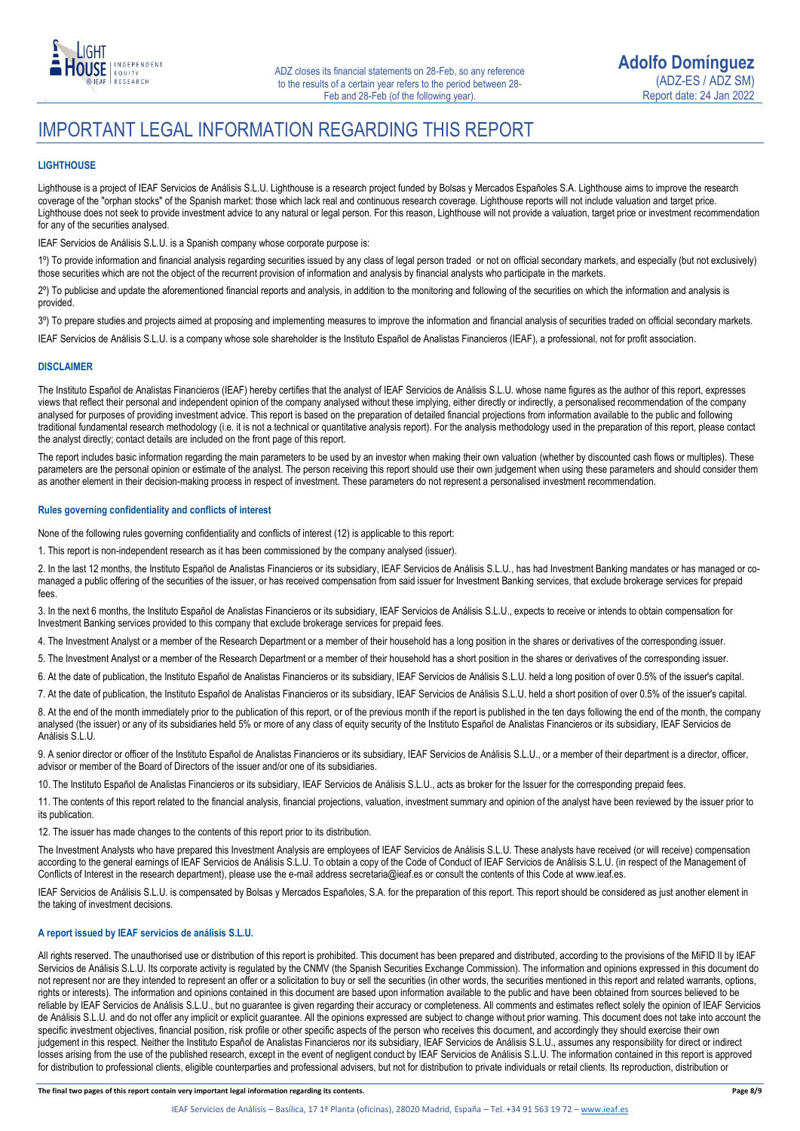

### IMPORTANT LEGAL INFORMATION REGARDING THIS REPORT

### **LIGHTHOUSE**

Lighthouse is a project of IEAF Servicios de Análisis S.L.U. Lighthouse is a research project funded by Bolsas y Mercados Españoles S.A. Lighthouse aims to improve the research coverage of the "orphan stocks" of the Spanish market: those which lack real and continuous research coverage. Lighthouse reports will not include valuation and target price. Lighthouse does not seek to provide investment advice to any natural or legal person. For this reason, Lighthouse will not provide a valuation, target price or investment recommendation for any of the securities analysed.

IEAF Servicios de Análisis S.L.U. is a Spanish company whose corporate purpose is:

1º) To provide information and financial analysis regarding securities issued by any class of legal person traded or not on official secondary markets, and especially (but not exclusively) those securities which are not the object of the recurrent provision of information and analysis by financial analysts who participate in the markets.

2º) To publicise and update the aforementioned financial reports and analysis, in addition to the monitoring and following of the securities on which the information and analysis is provided.

3<sup>o</sup>) To prepare studies and projects aimed at proposing and implementing measures to improve the information and financial analysis of securities traded on official secondary markets.

IEAF Servicios de Análisis S.L.U. is a company whose sole shareholder is the Instituto Español de Analistas Financieros (IEAF), a professional, not for profit association.

#### **DISCLAIMER**

The Instituto Español de Analistas Financieros (IEAF) hereby certifies that the analyst of IEAF Servicios de Análisis S.L.U. whose name figures as the author of this report, expresses views that reflect their personal and independent opinion of the company analysed without these implying, either directly or indirectly, a personalised recommendation of the company analysed for purposes of providing investment advice. This report is based on the preparation of detailed financial projections from information available to the public and following traditional fundamental research methodology (i.e. it is not a technical or quantitative analysis report). For the analysis methodology used in the preparation of this report, please contact the analyst directly; contact details are included on the front page of this report.

The report includes basic information regarding the main parameters to be used by an investor when making their own valuation (whether by discounted cash flows or multiples). These parameters are the personal opinion or estimate of the analyst. The person receiving this report should use their own judgement when using these parameters and should consider them as another element in their decision-making process in respect of investment. These parameters do not represent a personalised investment recommendation.

#### **Rules governing confidentiality and conflicts of interest**

None of the following rules governing confidentiality and conflicts of interest (12) is applicable to this report:

1. This report is non-independent research as it has been commissioned by the company analysed (issuer).

2. In the last 12 months, the Instituto Español de Analistas Financieros or its subsidiary, IEAF Servicios de Análisis S.L.U., has had Investment Banking mandates or has managed or comanaged a public offering of the securities of the issuer, or has received compensation from said issuer for Investment Banking services, that exclude brokerage services for prepaid fees.

3. In the next 6 months, the Instituto Español de Analistas Financieros or its subsidiary, IEAF Servicios de Análisis S.L.U., expects to receive or intends to obtain compensation for Investment Banking services provided to this company that exclude brokerage services for prepaid fees.

4. The Investment Analyst or a member of the Research Department or a member of their household has a long position in the shares or derivatives of the corresponding issuer.

5. The Investment Analyst or a member of the Research Department or a member of their household has a short position in the shares or derivatives of the corresponding issuer.

6. At the date of publication, the Instituto Español de Analistas Financieros or its subsidiary, IEAF Servicios de Análisis S.L.U. held a long position of over 0.5% of the issuer's capital.

7. At the date of publication, the Instituto Español de Analistas Financieros or its subsidiary, IEAF Servicios de Análisis S.L.U. held a short position of over 0.5% of the issuer's capital.

8. At the end of the month immediately prior to the publication of this report, or of the previous month if the report is published in the ten days following the end of the month, the company analysed (the issuer) or any of its subsidiaries held 5% or more of any class of equity security of the Instituto Español de Analistas Financieros or its subsidiary, IEAF Servicios de Análisis S.L.U.

9. A senior director or officer of the Instituto Español de Analistas Financieros or its subsidiary, IEAF Servicios de Análisis S.L.U., or a member of their department is a director, officer, advisor or member of the Board of Directors of the issuer and/or one of its subsidiaries.

10. The Instituto Español de Analistas Financieros or its subsidiary, IEAF Servicios de Análisis S.L.U., acts as broker for the Issuer for the corresponding prepaid fees.

11. The contents of this report related to the financial analysis, financial projections, valuation, investment summary and opinion of the analyst have been reviewed by the issuer prior to its publication.

12. The issuer has made changes to the contents of this report prior to its distribution.

The Investment Analysts who have prepared this Investment Analysis are employees of IEAF Servicios de Análisis S.L.U. These analysts have received (or will receive) compensation according to the general earnings of IEAF Servicios de Análisis S.L.U. To obtain a copy of the Code of Conduct of IEAF Servicios de Análisis S.L.U. (in respect of the Management of Conflicts of Interest in the research department), please use the e-mail address secretaria@ieaf.es or consult the contents of this Code at [www.ieaf.es.](https://www.ieaf.es/images/IEAF/LIGHTHOUSE/IEAF_LIGHTHOUSE_CodigoDeConducta.pdf) 

IEAF Servicios de Análisis S.L.U. is compensated by Bolsas y Mercados Españoles, S.A. for the preparation of this report. This report should be considered as just another element in the taking of investment decisions.

### **A report issued by IEAF servicios de análisis S.L.U.**

All rights reserved. The unauthorised use or distribution of this report is prohibited. This document has been prepared and distributed, according to the provisions of the MiFID II by IEAF Servicios de Análisis S.L.U. Its corporate activity is regulated by the CNMV (the Spanish Securities Exchange Commission). The information and opinions expressed in this document do not represent nor are they intended to represent an offer or a solicitation to buy or sell the securities (in other words, the securities mentioned in this report and related warrants, options, rights or interests). The information and opinions contained in this document are based upon information available to the public and have been obtained from sources believed to be reliable by IEAF Servicios de Análisis S.L.U., but no guarantee is given regarding their accuracy or completeness. All comments and estimates reflect solely the opinion of IEAF Servicios de Análisis S.L.U. and do not offer any implicit or explicit guarantee. All the opinions expressed are subject to change without prior warning. This document does not take into account the specific investment objectives, financial position, risk profile or other specific aspects of the person who receives this document, and accordingly they should exercise their own judgement in this respect. Neither the Instituto Español de Analistas Financieros nor its subsidiary, IEAF Servicios de Análisis S.L.U., assumes any responsibility for direct or indirect losses arising from the use of the published research, except in the event of negligent conduct by IEAF Servicios de Análisis S.L.U. The information contained in this report is approved for distribution to professional clients, eligible counterparties and professional advisers, but not for distribution to private individuals or retail clients. Its reproduction, distribution or